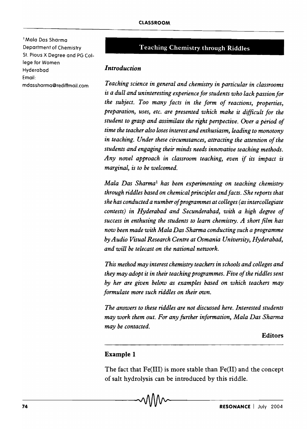I Mala Dos Sharma Department of Chemistry St. Pious X Degree and PG College for Women Hyderabad Email: mdassharmo@rediffmail.com

# Teaching Chemistry. through Riddles

#### *Introduction*

*Teaching science in general and chemistry in particular in classrooms*  is *a dull and uninteresting experience for students who lack passion for the subject. Too many facts in the form of reactions, properties, preparation, uses, etc. are presented which make it difficult for the student to grasp and assimilate the right perspective. Over a period of time the teacher also loses interest and enthusiasm, leading to monotony in teaching. Under these circumstances, attracting the attention of the students and engaging their minds needs innovative teaching methods. Any novel approach in classroom teaching, even if its impact* is *marginal,* is *to be welcomed.* 

*Mala Das Sharma! has been experimenting on teaching chemistry through riddles based on chemical principles and facts. She reports that she has conducted a number of programmes at colleges (as intercollegiate contests) in Hyderabad and Secunderabad, with a high degree of success in enthusing the students to learn chemistry. A short film has now been made with Mala Das Sharma conducting such a programme by Audio Visual Research Centre at Osmania University, Hyderabad, and will be telecast on the national network.* 

*This method may interest chemistry teachers in schools and colleges and they may adopt it in their teaching programmes. Five of the riddles sent by her are given below as examples based on which teachers may formulate more such riddles on their own.* 

*The answers to these riddles are not discussed here. Interested students may work them out. For any further information, Mala Das Sharma may be contacted.* 

**Editors** 

## Example 1

The fact that Fe(III) is more stable than Fe(II) and the concept of salt hydrolysis can be introduced by this riddle.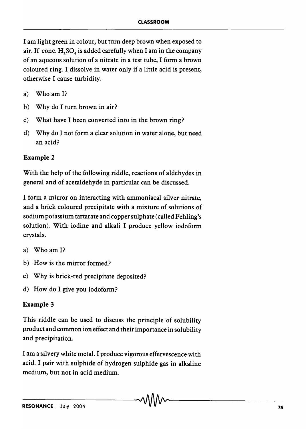I am light green in colour, but turn deep brown when exposed to air. If conc.  $H_2SO_4$  is added carefully when I am in the company of an aqueous solution of a nitrate in a test tube, I form a brown coloured ring. I dissolve in water only if a little acid is present, otherwise I cause turbidity.

- a) Who am I?
- b) Why do I turn brown in air?
- c) What have I been converted into in the brown ring?
- d) Why do I not form a clear solution in water alone, but need an acid?

## **Example 2**

With the help of the following riddle, reactions of aldehydes in general and of acetaldehyde in particular can be discussed.

I form a mirror on interacting with ammoniacal silver nitrate, and a brick coloured precipitate with a mixture of solutions of sodium potassium tartarate and copper sulphate (called Fehling's solution). With iodine and alkali I produce yellow iodoform crystals.

- a) Who am I?
- b) How is the mirror formed?
- c) Why is brick-red precipitate deposited?
- d) How do I give you iodoform?

## **Example 3**

This riddle can be used to discuss the principle of solubility product and common ion effect and their importance in solubility and precipitation.

I am a silvery white metal. I produce vigorous effervescence with acid. I pair with sulphide of hydrogen sulphide gas in alkaline medium, but not in acid medium.